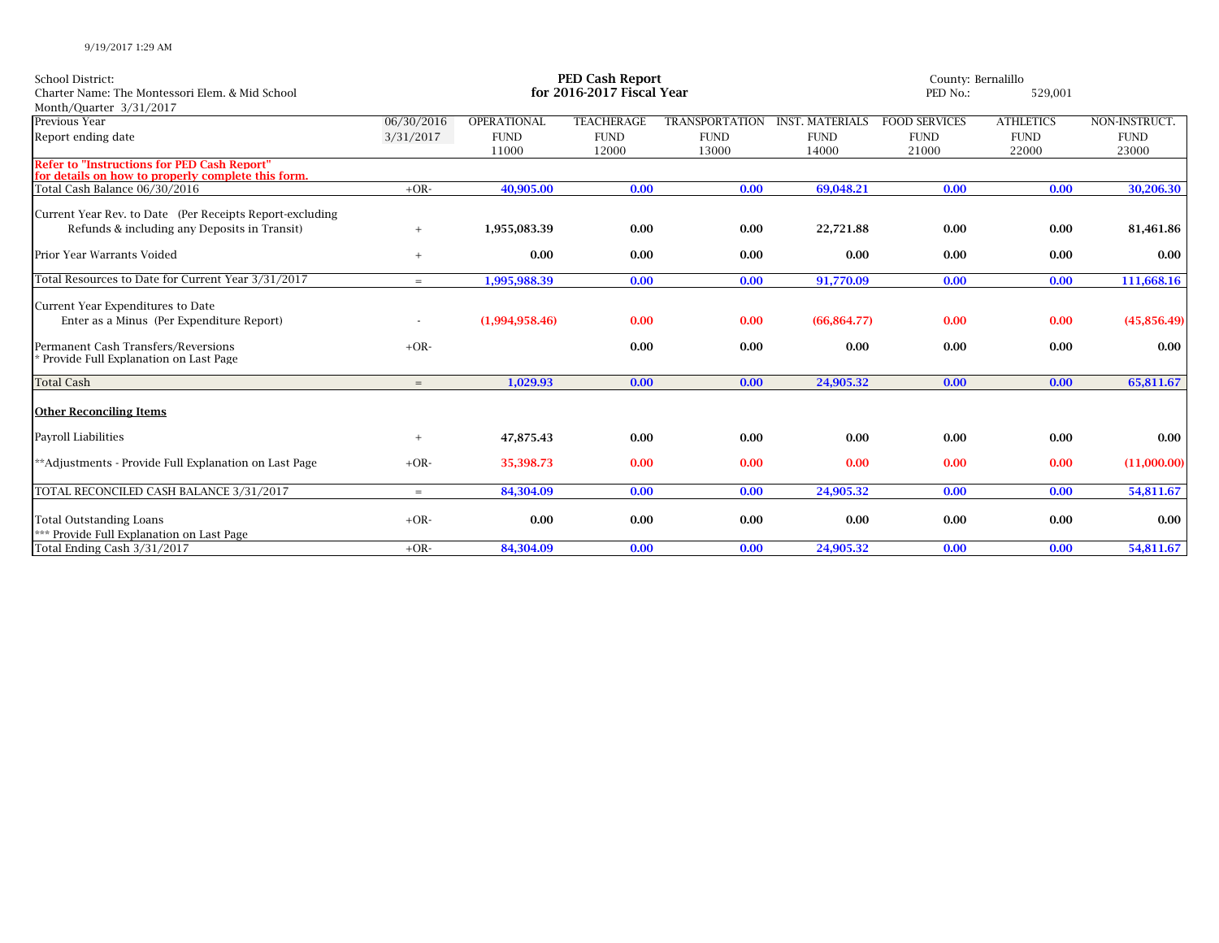| School District:<br>Charter Name: The Montessori Elem. & Mid School<br>Month/Quarter 3/31/2017                                                                 | <b>PED Cash Report</b><br>for 2016-2017 Fiscal Year |                |                   |                       |                        | County: Bernalillo<br>PED No.: |                  |                     |
|----------------------------------------------------------------------------------------------------------------------------------------------------------------|-----------------------------------------------------|----------------|-------------------|-----------------------|------------------------|--------------------------------|------------------|---------------------|
| Previous Year                                                                                                                                                  | 06/30/2016                                          | OPERATIONAL    | <b>TEACHERAGE</b> | <b>TRANSPORTATION</b> | <b>INST. MATERIALS</b> | <b>FOOD SERVICES</b>           | <b>ATHLETICS</b> | NON-INSTRUCT.       |
| Report ending date                                                                                                                                             | 3/31/2017                                           | <b>FUND</b>    | <b>FUND</b>       | <b>FUND</b>           | <b>FUND</b>            | <b>FUND</b>                    | <b>FUND</b>      | <b>FUND</b>         |
| <b>Refer to "Instructions for PED Cash Report"</b>                                                                                                             |                                                     | 11000          | 12000             | 13000                 | 14000                  | 21000                          | 22000            | 23000               |
| for details on how to properly complete this form.                                                                                                             |                                                     |                |                   |                       |                        |                                |                  |                     |
| Total Cash Balance 06/30/2016                                                                                                                                  | $+OR-$                                              | 40,905.00      | 0.00              | 0.00                  | 69,048.21              | 0.00                           | 0.00             | 30,206.30           |
| Current Year Rev. to Date (Per Receipts Report-excluding<br>Refunds & including any Deposits in Transit)                                                       | $+$                                                 | 1,955,083.39   | 0.00              | 0.00                  | 22,721.88              | 0.00                           | 0.00             | 81,461.86           |
| Prior Year Warrants Voided                                                                                                                                     | $+$                                                 | 0.00           | 0.00              | 0.00                  | 0.00                   | 0.00                           | 0.00             | 0.00                |
| Total Resources to Date for Current Year 3/31/2017                                                                                                             | $=$                                                 | 1,995,988.39   | 0.00              | 0.00                  | 91,770.09              | 0.00                           | 0.00             | 111,668.16          |
| Current Year Expenditures to Date<br>Enter as a Minus (Per Expenditure Report)<br>Permanent Cash Transfers/Reversions<br>Provide Full Explanation on Last Page | $+OR-$                                              | (1,994,958.46) | 0.00<br>0.00      | 0.00<br>0.00          | (66.864.77)<br>0.00    | 0.00<br>0.00                   | 0.00<br>0.00     | (45,856.49)<br>0.00 |
| <b>Total Cash</b>                                                                                                                                              | $=$                                                 | 1,029.93       | 0.00              | 0.00                  | 24,905.32              | 0.00                           | 0.00             | 65,811.67           |
| <b>Other Reconciling Items</b>                                                                                                                                 |                                                     |                |                   |                       |                        |                                |                  |                     |
| Payroll Liabilities                                                                                                                                            |                                                     | 47,875.43      | 0.00              | 0.00                  | 0.00                   | 0.00                           | 0.00             | 0.00                |
| **Adjustments - Provide Full Explanation on Last Page                                                                                                          | $+OR-$                                              | 35,398.73      | 0.00              | 0.00                  | 0.00                   | 0.00                           | 0.00             | (11,000.00)         |
| TOTAL RECONCILED CASH BALANCE 3/31/2017                                                                                                                        | $=$                                                 | 84,304.09      | 0.00              | 0.00                  | 24,905.32              | 0.00                           | 0.00             | 54,811.67           |
| <b>Total Outstanding Loans</b><br>*** Provide Full Explanation on Last Page                                                                                    | $+OR-$                                              | 0.00           | 0.00              | 0.00                  | 0.00                   | 0.00                           | 0.00             | 0.00                |
| Total Ending Cash 3/31/2017                                                                                                                                    | $+OR-$                                              | 84,304.09      | 0.00              | 0.00                  | 24,905.32              | 0.00                           | 0.00             | 54,811.67           |

9/19/2017 1:29 AM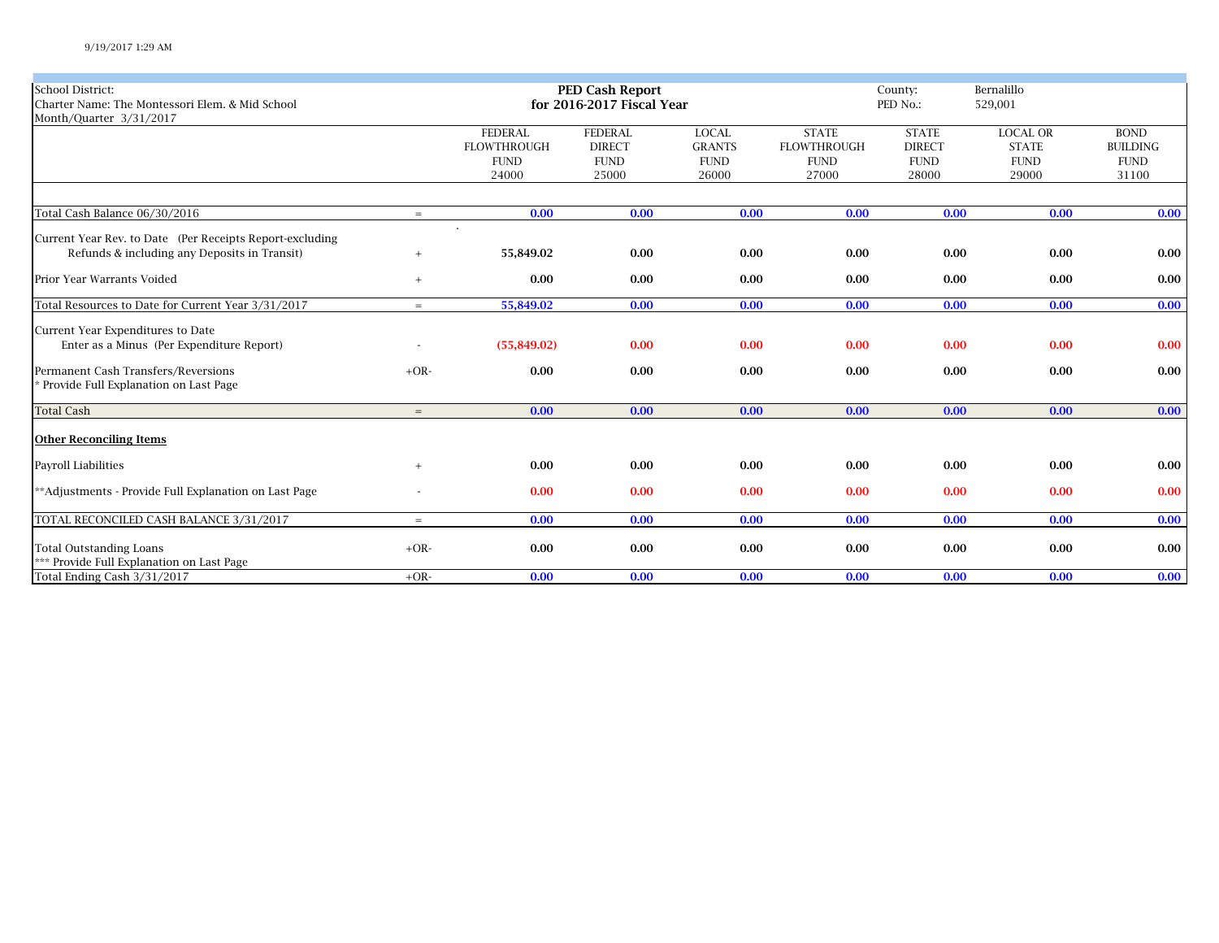| School District:<br><b>PED Cash Report</b><br>Bernalillo<br>County:<br>Charter Name: The Montessori Elem. & Mid School<br>for 2016-2017 Fiscal Year<br>PED No.:<br>529,001<br>Month/Quarter 3/31/2017<br><b>LOCAL OR</b><br><b>FEDERAL</b><br><b>FEDERAL</b><br><b>LOCAL</b><br><b>STATE</b><br><b>STATE</b><br><b>BOND</b><br><b>FLOWTHROUGH</b><br><b>FLOWTHROUGH</b><br><b>DIRECT</b><br><b>GRANTS</b><br><b>DIRECT</b><br><b>STATE</b><br><b>BUILDING</b><br><b>FUND</b><br><b>FUND</b><br><b>FUND</b><br><b>FUND</b><br><b>FUND</b><br><b>FUND</b><br><b>FUND</b><br>24000<br>25000<br>26000<br>27000<br>28000<br>29000<br>31100<br>Total Cash Balance 06/30/2016<br>0.00<br>0.00<br>0.00<br>0.00<br>0.00<br>0.00<br>$=$<br>Current Year Rev. to Date (Per Receipts Report-excluding<br>Refunds & including any Deposits in Transit)<br>55,849.02<br>0.00<br>0.00<br>0.00<br>0.00<br>0.00<br>$+$<br>Prior Year Warrants Voided<br>0.00<br>0.00<br>0.00<br>0.00<br>0.00<br>0.00<br>0.00<br>$+$<br>Total Resources to Date for Current Year 3/31/2017<br>55,849.02<br>0.00<br>0.00<br>0.00<br>0.00<br>0.00<br>0.00<br>$=$<br>Current Year Expenditures to Date<br>Enter as a Minus (Per Expenditure Report)<br>0.00<br>(55,849.02)<br>0.00<br>0.00<br>0.00<br>0.00<br>$+OR-$<br>0.00<br>0.00<br>0.00<br>0.00<br>0.00<br>0.00<br>* Provide Full Explanation on Last Page<br>0.00<br>0.00<br>0.00<br>0.00<br>0.00<br>0.00<br>0.00<br>$=$<br><b>Other Reconciling Items</b><br>0.00<br>0.00<br>0.00<br>0.00<br>0.00<br>0.00<br>$+$<br>**Adjustments - Provide Full Explanation on Last Page<br>0.00<br>0.00<br>0.00<br>0.00<br>0.00<br>0.00<br>0.00<br>0.00<br>0.00<br>0.00<br>0.00<br>0.00<br>$=$<br><b>Total Outstanding Loans</b><br>$+OR-$<br>0.00<br>0.00<br>0.00<br>0.00<br>0.00<br>0.00<br>*** Provide Full Explanation on Last Page |                                         |        |      |      |      |      |      |      |      |
|---------------------------------------------------------------------------------------------------------------------------------------------------------------------------------------------------------------------------------------------------------------------------------------------------------------------------------------------------------------------------------------------------------------------------------------------------------------------------------------------------------------------------------------------------------------------------------------------------------------------------------------------------------------------------------------------------------------------------------------------------------------------------------------------------------------------------------------------------------------------------------------------------------------------------------------------------------------------------------------------------------------------------------------------------------------------------------------------------------------------------------------------------------------------------------------------------------------------------------------------------------------------------------------------------------------------------------------------------------------------------------------------------------------------------------------------------------------------------------------------------------------------------------------------------------------------------------------------------------------------------------------------------------------------------------------------------------------------------------------------------------------------------------------------------------------------------------------------|-----------------------------------------|--------|------|------|------|------|------|------|------|
| 0.00<br>$0.00\,$<br>0.00<br>$0.00\,$                                                                                                                                                                                                                                                                                                                                                                                                                                                                                                                                                                                                                                                                                                                                                                                                                                                                                                                                                                                                                                                                                                                                                                                                                                                                                                                                                                                                                                                                                                                                                                                                                                                                                                                                                                                                        |                                         |        |      |      |      |      |      |      |      |
|                                                                                                                                                                                                                                                                                                                                                                                                                                                                                                                                                                                                                                                                                                                                                                                                                                                                                                                                                                                                                                                                                                                                                                                                                                                                                                                                                                                                                                                                                                                                                                                                                                                                                                                                                                                                                                             |                                         |        |      |      |      |      |      |      |      |
| 0.00                                                                                                                                                                                                                                                                                                                                                                                                                                                                                                                                                                                                                                                                                                                                                                                                                                                                                                                                                                                                                                                                                                                                                                                                                                                                                                                                                                                                                                                                                                                                                                                                                                                                                                                                                                                                                                        |                                         |        |      |      |      |      |      |      |      |
| 0.00<br>$0.00\,$<br>0.00                                                                                                                                                                                                                                                                                                                                                                                                                                                                                                                                                                                                                                                                                                                                                                                                                                                                                                                                                                                                                                                                                                                                                                                                                                                                                                                                                                                                                                                                                                                                                                                                                                                                                                                                                                                                                    |                                         |        |      |      |      |      |      |      |      |
|                                                                                                                                                                                                                                                                                                                                                                                                                                                                                                                                                                                                                                                                                                                                                                                                                                                                                                                                                                                                                                                                                                                                                                                                                                                                                                                                                                                                                                                                                                                                                                                                                                                                                                                                                                                                                                             |                                         |        |      |      |      |      |      |      |      |
|                                                                                                                                                                                                                                                                                                                                                                                                                                                                                                                                                                                                                                                                                                                                                                                                                                                                                                                                                                                                                                                                                                                                                                                                                                                                                                                                                                                                                                                                                                                                                                                                                                                                                                                                                                                                                                             |                                         |        |      |      |      |      |      |      |      |
|                                                                                                                                                                                                                                                                                                                                                                                                                                                                                                                                                                                                                                                                                                                                                                                                                                                                                                                                                                                                                                                                                                                                                                                                                                                                                                                                                                                                                                                                                                                                                                                                                                                                                                                                                                                                                                             |                                         |        |      |      |      |      |      |      |      |
|                                                                                                                                                                                                                                                                                                                                                                                                                                                                                                                                                                                                                                                                                                                                                                                                                                                                                                                                                                                                                                                                                                                                                                                                                                                                                                                                                                                                                                                                                                                                                                                                                                                                                                                                                                                                                                             |                                         |        |      |      |      |      |      |      |      |
|                                                                                                                                                                                                                                                                                                                                                                                                                                                                                                                                                                                                                                                                                                                                                                                                                                                                                                                                                                                                                                                                                                                                                                                                                                                                                                                                                                                                                                                                                                                                                                                                                                                                                                                                                                                                                                             |                                         |        |      |      |      |      |      |      |      |
|                                                                                                                                                                                                                                                                                                                                                                                                                                                                                                                                                                                                                                                                                                                                                                                                                                                                                                                                                                                                                                                                                                                                                                                                                                                                                                                                                                                                                                                                                                                                                                                                                                                                                                                                                                                                                                             |                                         |        |      |      |      |      |      |      |      |
|                                                                                                                                                                                                                                                                                                                                                                                                                                                                                                                                                                                                                                                                                                                                                                                                                                                                                                                                                                                                                                                                                                                                                                                                                                                                                                                                                                                                                                                                                                                                                                                                                                                                                                                                                                                                                                             |                                         |        |      |      |      |      |      |      |      |
|                                                                                                                                                                                                                                                                                                                                                                                                                                                                                                                                                                                                                                                                                                                                                                                                                                                                                                                                                                                                                                                                                                                                                                                                                                                                                                                                                                                                                                                                                                                                                                                                                                                                                                                                                                                                                                             |                                         |        |      |      |      |      |      |      |      |
|                                                                                                                                                                                                                                                                                                                                                                                                                                                                                                                                                                                                                                                                                                                                                                                                                                                                                                                                                                                                                                                                                                                                                                                                                                                                                                                                                                                                                                                                                                                                                                                                                                                                                                                                                                                                                                             |                                         |        |      |      |      |      |      |      |      |
|                                                                                                                                                                                                                                                                                                                                                                                                                                                                                                                                                                                                                                                                                                                                                                                                                                                                                                                                                                                                                                                                                                                                                                                                                                                                                                                                                                                                                                                                                                                                                                                                                                                                                                                                                                                                                                             |                                         |        |      |      |      |      |      |      |      |
|                                                                                                                                                                                                                                                                                                                                                                                                                                                                                                                                                                                                                                                                                                                                                                                                                                                                                                                                                                                                                                                                                                                                                                                                                                                                                                                                                                                                                                                                                                                                                                                                                                                                                                                                                                                                                                             |                                         |        |      |      |      |      |      |      |      |
|                                                                                                                                                                                                                                                                                                                                                                                                                                                                                                                                                                                                                                                                                                                                                                                                                                                                                                                                                                                                                                                                                                                                                                                                                                                                                                                                                                                                                                                                                                                                                                                                                                                                                                                                                                                                                                             |                                         |        |      |      |      |      |      |      |      |
|                                                                                                                                                                                                                                                                                                                                                                                                                                                                                                                                                                                                                                                                                                                                                                                                                                                                                                                                                                                                                                                                                                                                                                                                                                                                                                                                                                                                                                                                                                                                                                                                                                                                                                                                                                                                                                             |                                         |        |      |      |      |      |      |      |      |
|                                                                                                                                                                                                                                                                                                                                                                                                                                                                                                                                                                                                                                                                                                                                                                                                                                                                                                                                                                                                                                                                                                                                                                                                                                                                                                                                                                                                                                                                                                                                                                                                                                                                                                                                                                                                                                             | Permanent Cash Transfers/Reversions     |        |      |      |      |      |      |      |      |
|                                                                                                                                                                                                                                                                                                                                                                                                                                                                                                                                                                                                                                                                                                                                                                                                                                                                                                                                                                                                                                                                                                                                                                                                                                                                                                                                                                                                                                                                                                                                                                                                                                                                                                                                                                                                                                             |                                         |        |      |      |      |      |      |      |      |
|                                                                                                                                                                                                                                                                                                                                                                                                                                                                                                                                                                                                                                                                                                                                                                                                                                                                                                                                                                                                                                                                                                                                                                                                                                                                                                                                                                                                                                                                                                                                                                                                                                                                                                                                                                                                                                             | <b>Total Cash</b>                       |        |      |      |      |      |      |      |      |
|                                                                                                                                                                                                                                                                                                                                                                                                                                                                                                                                                                                                                                                                                                                                                                                                                                                                                                                                                                                                                                                                                                                                                                                                                                                                                                                                                                                                                                                                                                                                                                                                                                                                                                                                                                                                                                             |                                         |        |      |      |      |      |      |      |      |
|                                                                                                                                                                                                                                                                                                                                                                                                                                                                                                                                                                                                                                                                                                                                                                                                                                                                                                                                                                                                                                                                                                                                                                                                                                                                                                                                                                                                                                                                                                                                                                                                                                                                                                                                                                                                                                             |                                         |        |      |      |      |      |      |      |      |
|                                                                                                                                                                                                                                                                                                                                                                                                                                                                                                                                                                                                                                                                                                                                                                                                                                                                                                                                                                                                                                                                                                                                                                                                                                                                                                                                                                                                                                                                                                                                                                                                                                                                                                                                                                                                                                             | Payroll Liabilities                     |        |      |      |      |      |      |      |      |
|                                                                                                                                                                                                                                                                                                                                                                                                                                                                                                                                                                                                                                                                                                                                                                                                                                                                                                                                                                                                                                                                                                                                                                                                                                                                                                                                                                                                                                                                                                                                                                                                                                                                                                                                                                                                                                             |                                         |        |      |      |      |      |      |      |      |
|                                                                                                                                                                                                                                                                                                                                                                                                                                                                                                                                                                                                                                                                                                                                                                                                                                                                                                                                                                                                                                                                                                                                                                                                                                                                                                                                                                                                                                                                                                                                                                                                                                                                                                                                                                                                                                             |                                         |        |      |      |      |      |      |      |      |
|                                                                                                                                                                                                                                                                                                                                                                                                                                                                                                                                                                                                                                                                                                                                                                                                                                                                                                                                                                                                                                                                                                                                                                                                                                                                                                                                                                                                                                                                                                                                                                                                                                                                                                                                                                                                                                             | TOTAL RECONCILED CASH BALANCE 3/31/2017 |        |      |      |      |      |      |      |      |
|                                                                                                                                                                                                                                                                                                                                                                                                                                                                                                                                                                                                                                                                                                                                                                                                                                                                                                                                                                                                                                                                                                                                                                                                                                                                                                                                                                                                                                                                                                                                                                                                                                                                                                                                                                                                                                             |                                         |        |      |      |      |      |      |      |      |
|                                                                                                                                                                                                                                                                                                                                                                                                                                                                                                                                                                                                                                                                                                                                                                                                                                                                                                                                                                                                                                                                                                                                                                                                                                                                                                                                                                                                                                                                                                                                                                                                                                                                                                                                                                                                                                             |                                         |        |      |      |      |      |      |      |      |
|                                                                                                                                                                                                                                                                                                                                                                                                                                                                                                                                                                                                                                                                                                                                                                                                                                                                                                                                                                                                                                                                                                                                                                                                                                                                                                                                                                                                                                                                                                                                                                                                                                                                                                                                                                                                                                             | Total Ending Cash 3/31/2017             | $+OR-$ | 0.00 | 0.00 | 0.00 | 0.00 | 0.00 | 0.00 | 0.00 |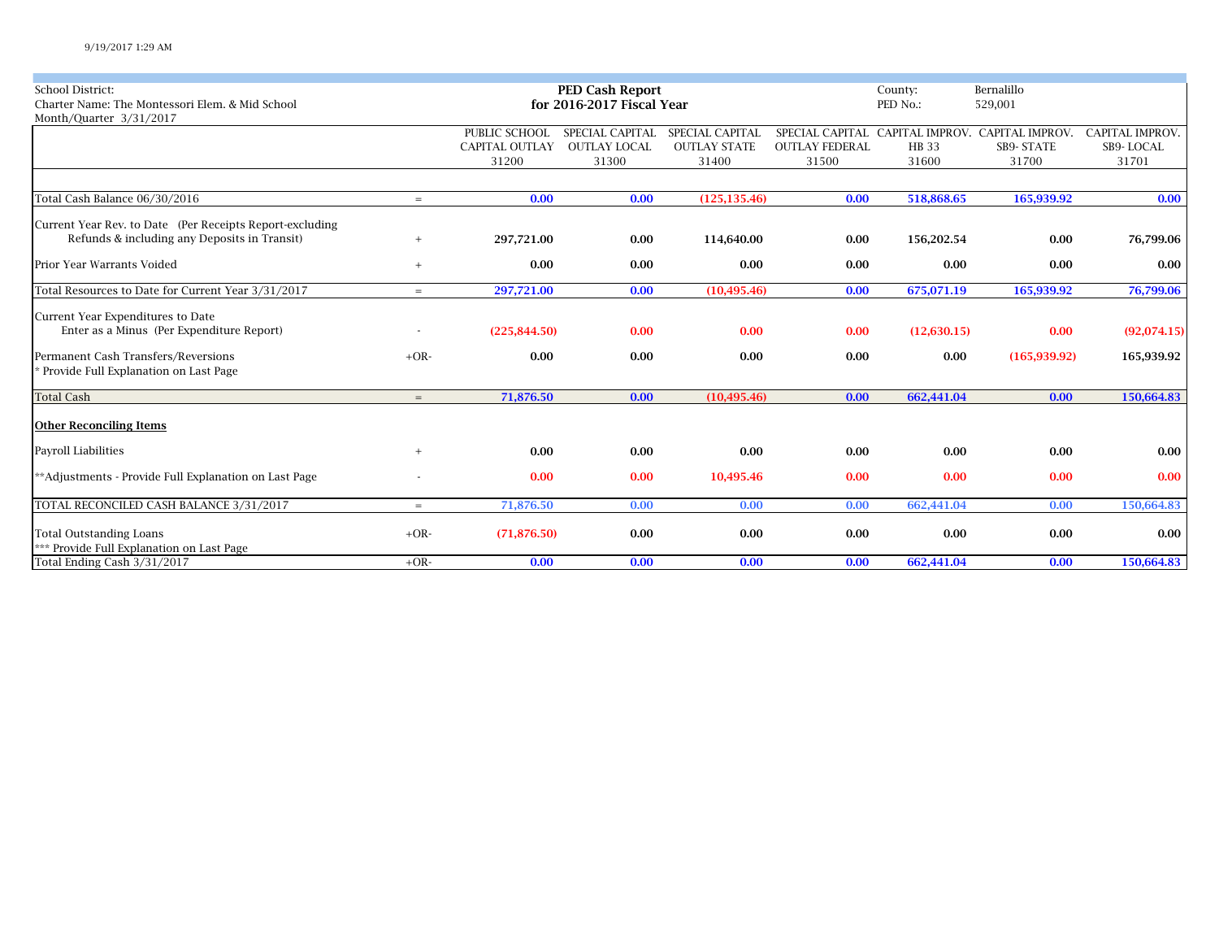| <b>School District:</b>                                  |        |                       | <b>PED Cash Report</b>    |                        | County:               | Bernalillo  |                                                 |                        |  |
|----------------------------------------------------------|--------|-----------------------|---------------------------|------------------------|-----------------------|-------------|-------------------------------------------------|------------------------|--|
| Charter Name: The Montessori Elem. & Mid School          |        |                       | for 2016-2017 Fiscal Year |                        |                       | PED No.:    | 529,001                                         |                        |  |
| Month/Quarter 3/31/2017                                  |        |                       |                           |                        |                       |             |                                                 |                        |  |
|                                                          |        | PUBLIC SCHOOL         | SPECIAL CAPITAL           | <b>SPECIAL CAPITAL</b> |                       |             | SPECIAL CAPITAL CAPITAL IMPROV. CAPITAL IMPROV. | <b>CAPITAL IMPROV.</b> |  |
|                                                          |        | <b>CAPITAL OUTLAY</b> | <b>OUTLAY LOCAL</b>       | <b>OUTLAY STATE</b>    | <b>OUTLAY FEDERAL</b> | <b>HB33</b> | <b>SB9- STATE</b>                               | SB9-LOCAL              |  |
|                                                          |        | 31200                 | 31300                     | 31400                  | 31500                 | 31600       | 31700                                           | 31701                  |  |
|                                                          |        |                       |                           |                        |                       |             |                                                 |                        |  |
| Total Cash Balance 06/30/2016                            | $=$    | 0.00                  | 0.00                      | (125, 135.46)          | 0.00                  | 518,868.65  | 165,939.92                                      | 0.00                   |  |
| Current Year Rev. to Date (Per Receipts Report-excluding |        |                       |                           |                        |                       |             |                                                 |                        |  |
| Refunds & including any Deposits in Transit)             | $+$    | 297,721.00            | 0.00                      | 114,640.00             | 0.00                  | 156,202.54  | 0.00                                            | 76,799.06              |  |
| Prior Year Warrants Voided                               | $+$    | 0.00                  | 0.00                      | 0.00                   | 0.00                  | 0.00        | 0.00                                            | 0.00                   |  |
| Total Resources to Date for Current Year 3/31/2017       | $=$    | 297,721.00            | 0.00                      | (10, 495.46)           | 0.00                  | 675,071.19  | 165,939.92                                      | 76,799.06              |  |
| Current Year Expenditures to Date                        |        |                       |                           |                        |                       |             |                                                 |                        |  |
| Enter as a Minus (Per Expenditure Report)                |        | (225, 844.50)         | 0.00                      | 0.00                   | 0.00                  | (12,630.15) | 0.00                                            | (92,074.15)            |  |
| Permanent Cash Transfers/Reversions                      | $+OR-$ | 0.00                  | 0.00                      | 0.00                   | 0.00                  | 0.00        | (165, 939.92)                                   | 165,939.92             |  |
| Provide Full Explanation on Last Page                    |        |                       |                           |                        |                       |             |                                                 |                        |  |
| <b>Total Cash</b>                                        | $=$    | 71,876.50             | 0.00                      | (10, 495.46)           | 0.00                  | 662,441.04  | 0.00                                            | 150,664.83             |  |
| <b>Other Reconciling Items</b>                           |        |                       |                           |                        |                       |             |                                                 |                        |  |
| Payroll Liabilities                                      | $+$    | 0.00                  | 0.00                      | 0.00                   | 0.00                  | 0.00        | 0.00                                            | 0.00                   |  |
| **Adjustments - Provide Full Explanation on Last Page    |        | 0.00                  | 0.00                      | 10,495.46              | 0.00                  | 0.00        | 0.00                                            | 0.00                   |  |
| TOTAL RECONCILED CASH BALANCE 3/31/2017                  | $=$    | 71,876.50             | 0.00                      | 0.00                   | 0.00                  | 662,441.04  | 0.00                                            | 150,664.83             |  |
| <b>Total Outstanding Loans</b>                           | $+OR-$ | (71, 876.50)          | 0.00                      | 0.00                   | 0.00                  | 0.00        | 0.00                                            | 0.00                   |  |
| *** Provide Full Explanation on Last Page                |        |                       |                           |                        |                       |             |                                                 |                        |  |
| Total Ending Cash 3/31/2017                              | $+OR-$ | 0.00                  | 0.00                      | 0.00                   | 0.00                  | 662,441.04  | 0.00                                            | 150,664.83             |  |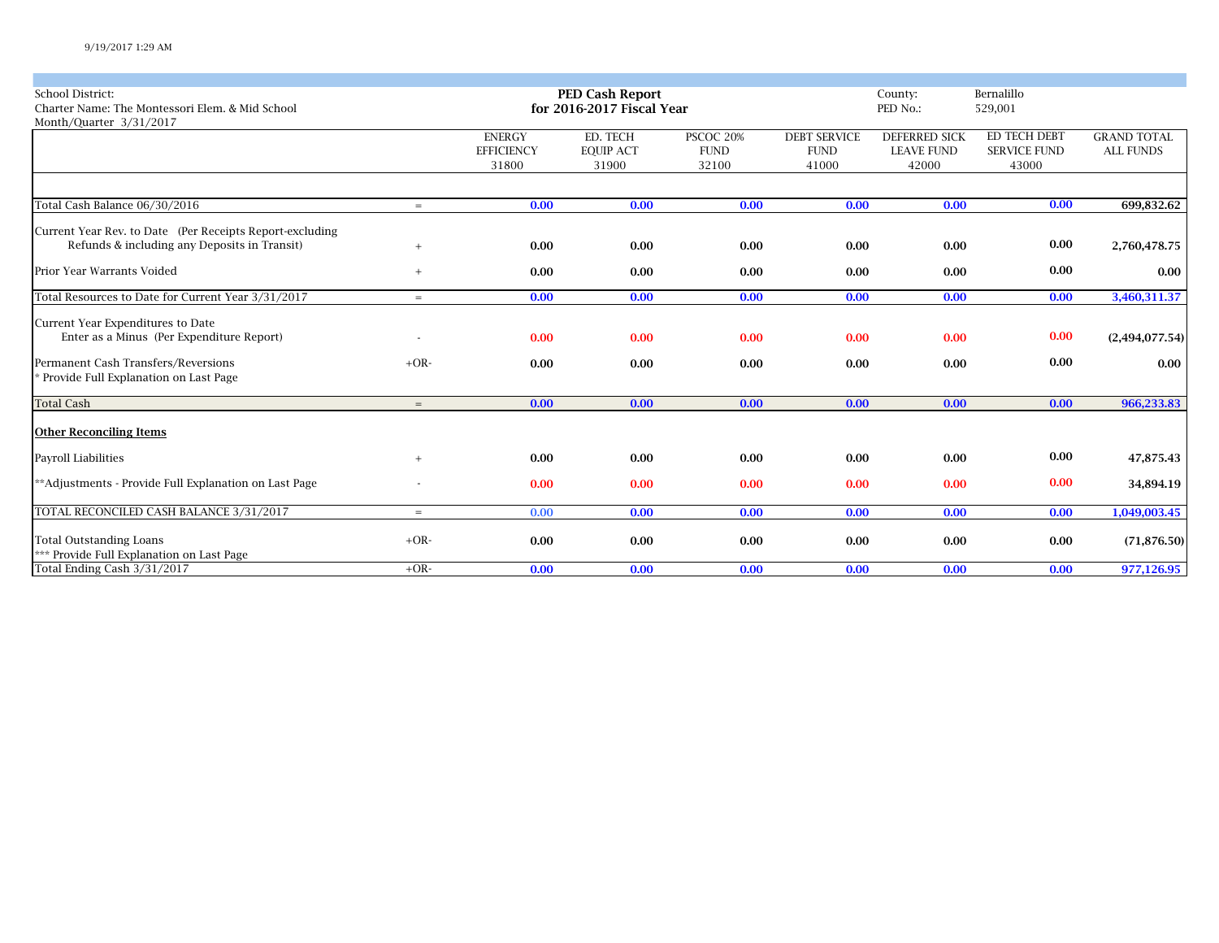| <b>School District:</b><br>Charter Name: The Montessori Elem. & Mid School<br>Month/Quarter 3/31/2017    |        |                                             | <b>PED Cash Report</b><br>for 2016-2017 Fiscal Year |                                   |                                             | County:<br>PED No.:                                | Bernalillo<br>529,001                        |                                        |
|----------------------------------------------------------------------------------------------------------|--------|---------------------------------------------|-----------------------------------------------------|-----------------------------------|---------------------------------------------|----------------------------------------------------|----------------------------------------------|----------------------------------------|
|                                                                                                          |        | <b>ENERGY</b><br><b>EFFICIENCY</b><br>31800 | ED. TECH<br><b>EQUIP ACT</b><br>31900               | PSCOC 20%<br><b>FUND</b><br>32100 | <b>DEBT SERVICE</b><br><b>FUND</b><br>41000 | <b>DEFERRED SICK</b><br><b>LEAVE FUND</b><br>42000 | ED TECH DEBT<br><b>SERVICE FUND</b><br>43000 | <b>GRAND TOTAL</b><br><b>ALL FUNDS</b> |
|                                                                                                          |        |                                             |                                                     |                                   |                                             |                                                    |                                              |                                        |
| Total Cash Balance 06/30/2016                                                                            | $=$    | 0.00                                        | 0.00                                                | 0.00                              | 0.00                                        | 0.00                                               | 0.00                                         | 699,832.62                             |
| Current Year Rev. to Date (Per Receipts Report-excluding<br>Refunds & including any Deposits in Transit) | $+$    | 0.00                                        | 0.00                                                | 0.00                              | 0.00                                        | 0.00                                               | 0.00                                         | 2,760,478.75                           |
| Prior Year Warrants Voided                                                                               | $+$    | 0.00                                        | 0.00                                                | 0.00                              | 0.00                                        | 0.00                                               | 0.00                                         | 0.00                                   |
| Total Resources to Date for Current Year 3/31/2017                                                       | $=$    | 0.00                                        | 0.00                                                | 0.00                              | 0.00                                        | 0.00                                               | 0.00                                         | 3,460,311.37                           |
| Current Year Expenditures to Date<br>Enter as a Minus (Per Expenditure Report)                           |        | 0.00                                        | 0.00                                                | 0.00                              | 0.00                                        | 0.00                                               | 0.00                                         | (2,494,077.54)                         |
| Permanent Cash Transfers/Reversions<br>* Provide Full Explanation on Last Page                           | $+OR-$ | 0.00                                        | 0.00                                                | 0.00                              | 0.00                                        | 0.00                                               | 0.00                                         | 0.00                                   |
| <b>Total Cash</b>                                                                                        | $=$    | 0.00                                        | 0.00                                                | 0.00                              | 0.00                                        | 0.00                                               | 0.00                                         | 966,233.83                             |
| <b>Other Reconciling Items</b>                                                                           |        |                                             |                                                     |                                   |                                             |                                                    |                                              |                                        |
| Payroll Liabilities                                                                                      | $+$    | 0.00                                        | 0.00                                                | 0.00                              | 0.00                                        | 0.00                                               | 0.00                                         | 47,875.43                              |
| **Adjustments - Provide Full Explanation on Last Page                                                    |        | 0.00                                        | 0.00                                                | 0.00                              | 0.00                                        | 0.00                                               | 0.00                                         | 34,894.19                              |
| TOTAL RECONCILED CASH BALANCE 3/31/2017                                                                  | $=$    | 0.00                                        | 0.00                                                | 0.00                              | 0.00                                        | 0.00                                               | 0.00                                         | 1,049,003.45                           |
| <b>Total Outstanding Loans</b><br>*** Provide Full Explanation on Last Page                              | $+OR-$ | 0.00                                        | 0.00                                                | 0.00                              | 0.00                                        | 0.00                                               | 0.00                                         | (71, 876.50)                           |
| Total Ending Cash 3/31/2017                                                                              | $+OR-$ | 0.00                                        | 0.00                                                | 0.00                              | 0.00                                        | 0.00                                               | 0.00                                         | 977,126.95                             |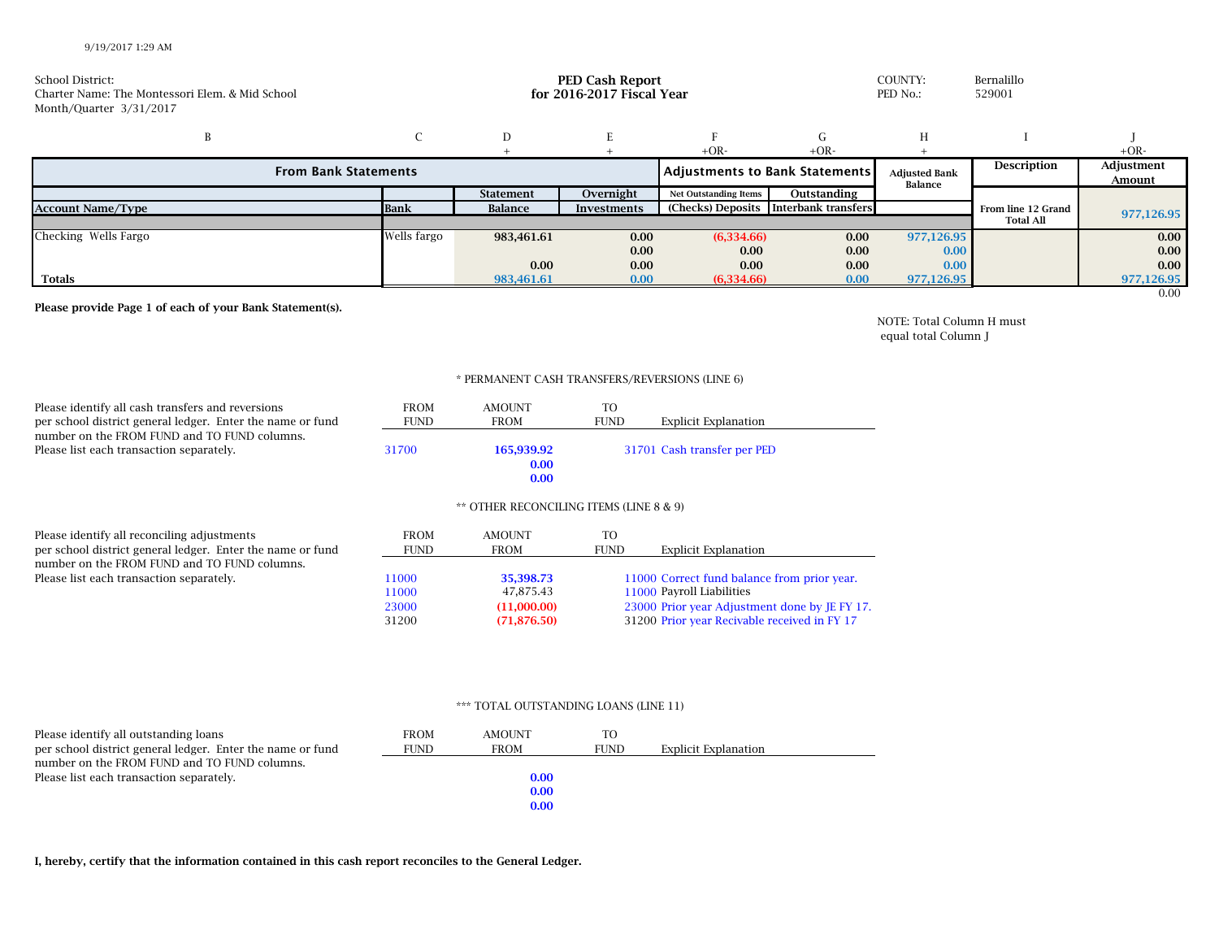| School District:<br>Charter Name: The Montessori Elem. & Mid School<br>Month/Quarter 3/31/2017 | <b>PED Cash Report</b><br>for 2016-2017 Fiscal Year |                  |             |                              | COUNTY:<br>PED No.:                   | Bernalillo<br>529001            |                    |                      |
|------------------------------------------------------------------------------------------------|-----------------------------------------------------|------------------|-------------|------------------------------|---------------------------------------|---------------------------------|--------------------|----------------------|
|                                                                                                |                                                     | D                |             |                              | G.                                    | H                               |                    |                      |
|                                                                                                |                                                     |                  |             | $+OR-$                       | $+OR-$                                |                                 |                    | $+OR-$               |
| <b>From Bank Statements</b>                                                                    |                                                     |                  |             |                              | Adjustments to Bank Statements        | <b>Adjusted Bank</b><br>Balance | Description        | Adjustment<br>Amount |
|                                                                                                |                                                     | <b>Statement</b> | Overnight   | <b>Net Outstanding Items</b> | Outstanding                           |                                 |                    |                      |
| <b>Account Name/Type</b>                                                                       | <b>Bank</b>                                         | Balance          | Investments |                              | (Checks) Deposits Interbank transfers |                                 | From line 12 Grand | 977,126.95           |
|                                                                                                |                                                     |                  |             |                              |                                       |                                 | <b>Total All</b>   |                      |
| Checking Wells Fargo                                                                           | Wells fargo                                         | 983,461.61       | 0.00        | (6,334.66)                   | 0.00                                  | 977,126.95                      |                    | 0.00                 |
|                                                                                                |                                                     |                  | 0.00        | 0.00                         | 0.00                                  | 0.00                            |                    | 0.00                 |
|                                                                                                |                                                     | 0.00             | 0.00        | 0.00                         | 0.00                                  | 0.00 <sub>1</sub>               |                    | 0.00                 |
| <b>Totals</b>                                                                                  |                                                     | 983,461.61       | 0.00        | (6,334.66)                   | 0.00                                  | 977,126.95                      |                    | 977,126.95           |

**Please provide Page 1 of each of your Bank Statement(s).**

0.00

NOTE: Total Column H must equal total Column J

## \* PERMANENT CASH TRANSFERS/REVERSIONS (LINE 6)

| Please identify all cash transfers and reversions                                        | <b>FROM</b> | <b>AMOUNT</b>              | TO.         | Explicit Explanation        |
|------------------------------------------------------------------------------------------|-------------|----------------------------|-------------|-----------------------------|
| per school district general ledger. Enter the name or fund                               | <b>FUND</b> | <b>FROM</b>                | <b>FUND</b> |                             |
| number on the FROM FUND and TO FUND columns.<br>Please list each transaction separately. | 31700       | 165.939.92<br>0.00<br>0.00 |             | 31701 Cash transfer per PED |

## \*\* OTHER RECONCILING ITEMS (LINE 8 & 9)

| Please identify all reconciling adjustments<br>per school district general ledger. Enter the name or fund | <b>FROM</b><br><b>FUND</b> | <b>AMOUNT</b><br><b>FROM</b> | TO.<br><b>FUND</b> | <b>Explicit Explanation</b>                   |
|-----------------------------------------------------------------------------------------------------------|----------------------------|------------------------------|--------------------|-----------------------------------------------|
| number on the FROM FUND and TO FUND columns.                                                              |                            |                              |                    |                                               |
| Please list each transaction separately.                                                                  | 11000                      | 35,398.73                    |                    | 11000 Correct fund balance from prior year.   |
|                                                                                                           | 11000                      | 47.875.43                    |                    | 11000 Payroll Liabilities                     |
|                                                                                                           | 23000                      | (11,000.00)                  |                    | 23000 Prior year Adjustment done by JE FY 17. |
|                                                                                                           | 31200                      | (71, 876.50)                 |                    | 31200 Prior year Recivable received in FY 17  |

## \*\*\* TOTAL OUTSTANDING LOANS (LINE 11)

| Please identify all outstanding loans                      | <b>FROM</b> | <b>AMOUNT</b> | TO.         |                      |
|------------------------------------------------------------|-------------|---------------|-------------|----------------------|
| per school district general ledger. Enter the name or fund | <b>FUND</b> | FROM          | <b>FUND</b> | Explicit Explanation |
| number on the FROM FUND and TO FUND columns.               |             |               |             |                      |
| Please list each transaction separately.                   |             | 0.00          |             |                      |
|                                                            |             | 0.00          |             |                      |
|                                                            |             | 0.00          |             |                      |

**I, hereby, certify that the information contained in this cash report reconciles to the General Ledger.**